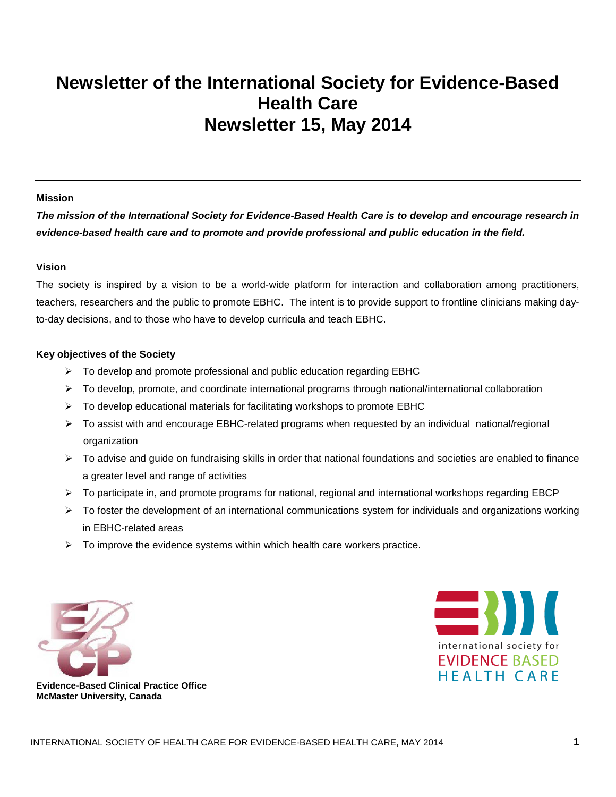# **Newsletter of the International Society for Evidence-Based Health Care Newsletter 15, May 2014**

#### **Mission**

*The mission of the International Society for Evidence-Based Health Care is to develop and encourage research in evidence-based health care and to promote and provide professional and public education in the field.*

#### **Vision**

The society is inspired by a vision to be a world-wide platform for interaction and collaboration among practitioners, teachers, researchers and the public to promote EBHC. The intent is to provide support to frontline clinicians making dayto-day decisions, and to those who have to develop curricula and teach EBHC.

#### **Key objectives of the Society**

- $\triangleright$  To develop and promote professional and public education regarding EBHC
- $\triangleright$  To develop, promote, and coordinate international programs through national/international collaboration
- $\triangleright$  To develop educational materials for facilitating workshops to promote EBHC
- To assist with and encourage EBHC-related programs when requested by an individual national/regional organization
- $\triangleright$  To advise and guide on fundraising skills in order that national foundations and societies are enabled to finance a greater level and range of activities
- $\triangleright$  To participate in, and promote programs for national, regional and international workshops regarding EBCP
- $\triangleright$  To foster the development of an international communications system for individuals and organizations working in EBHC-related areas
- $\triangleright$  To improve the evidence systems within which health care workers practice.





**Evidence-Based Clinical Practice Office McMaster University, Canada**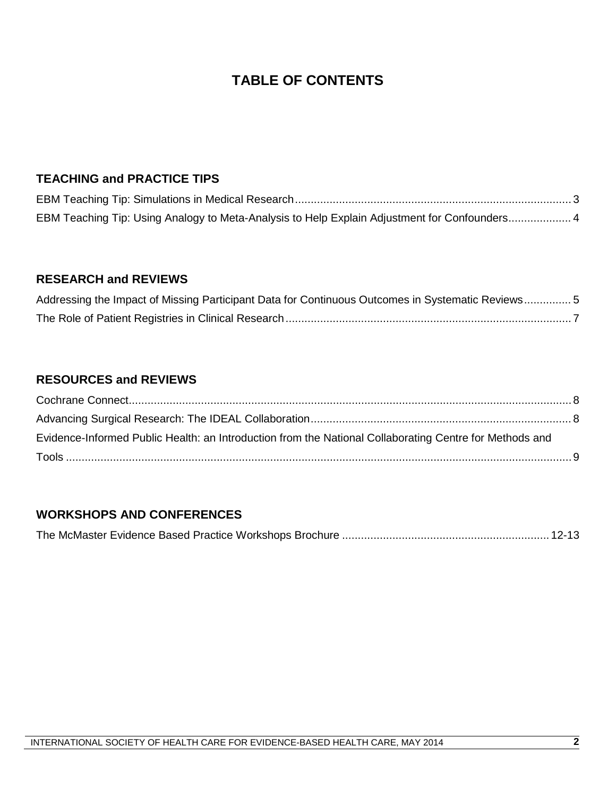# **TABLE OF CONTENTS**

## **TEACHING and PRACTICE TIPS**

| EBM Teaching Tip: Using Analogy to Meta-Analysis to Help Explain Adjustment for Confounders 4 |  |
|-----------------------------------------------------------------------------------------------|--|

## **RESEARCH and REVIEWS**

| Addressing the Impact of Missing Participant Data for Continuous Outcomes in Systematic Reviews5 |  |
|--------------------------------------------------------------------------------------------------|--|
|                                                                                                  |  |

## **RESOURCES and REVIEWS**

| Evidence-Informed Public Health: an Introduction from the National Collaborating Centre for Methods and |  |
|---------------------------------------------------------------------------------------------------------|--|
|                                                                                                         |  |

### **WORKSHOPS AND CONFERENCES**

|--|--|--|--|--|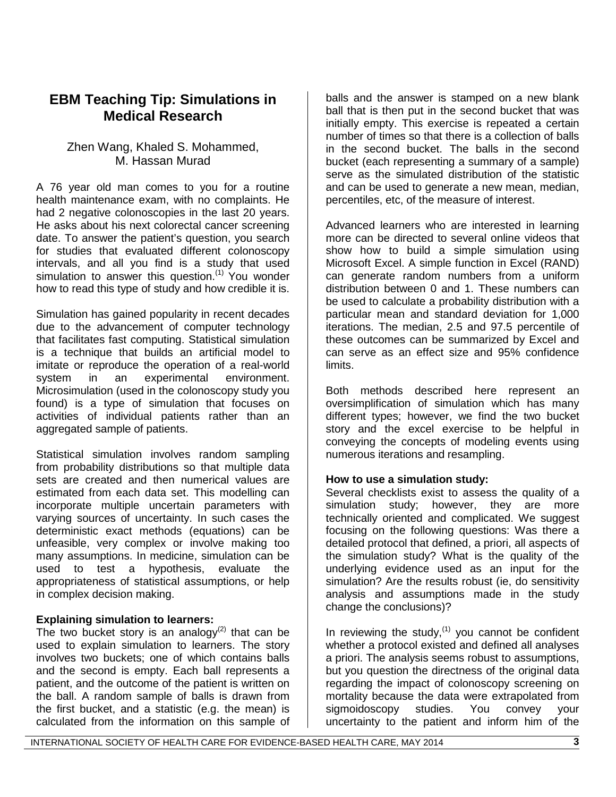## **EBM Teaching Tip: Simulations in Medical Research**

### Zhen Wang, Khaled S. Mohammed, M. Hassan Murad

A 76 year old man comes to you for a routine health maintenance exam, with no complaints. He had 2 negative colonoscopies in the last 20 years. He asks about his next colorectal cancer screening date. To answer the patient's question, you search for studies that evaluated different colonoscopy intervals, and all you find is a study that used simulation to answer this question. $(1)$  You wonder how to read this type of study and how credible it is.

Simulation has gained popularity in recent decades due to the advancement of computer technology that facilitates fast computing. Statistical simulation is a technique that builds an artificial model to imitate or reproduce the operation of a real-world system in an experimental environment. Microsimulation (used in the colonoscopy study you found) is a type of simulation that focuses on activities of individual patients rather than an aggregated sample of patients.

Statistical simulation involves random sampling from probability distributions so that multiple data sets are created and then numerical values are estimated from each data set. This modelling can incorporate multiple uncertain parameters with varying sources of uncertainty. In such cases the deterministic exact methods (equations) can be unfeasible, very complex or involve making too many assumptions. In medicine, simulation can be used to test a hypothesis, evaluate the appropriateness of statistical assumptions, or help in complex decision making.

### **Explaining simulation to learners:**

The two bucket story is an analogy $(2)$  that can be used to explain simulation to learners. The story involves two buckets; one of which contains balls and the second is empty. Each ball represents a patient, and the outcome of the patient is written on the ball. A random sample of balls is drawn from the first bucket, and a statistic (e.g. the mean) is calculated from the information on this sample of

balls and the answer is stamped on a new blank ball that is then put in the second bucket that was initially empty. This exercise is repeated a certain number of times so that there is a collection of balls in the second bucket. The balls in the second bucket (each representing a summary of a sample) serve as the simulated distribution of the statistic and can be used to generate a new mean, median, percentiles, etc, of the measure of interest.

Advanced learners who are interested in learning more can be directed to several online videos that show how to build a simple simulation using Microsoft Excel. A simple function in Excel (RAND) can generate random numbers from a uniform distribution between 0 and 1. These numbers can be used to calculate a probability distribution with a particular mean and standard deviation for 1,000 iterations. The median, 2.5 and 97.5 percentile of these outcomes can be summarized by Excel and can serve as an effect size and 95% confidence limits.

Both methods described here represent an oversimplification of simulation which has many different types; however, we find the two bucket story and the excel exercise to be helpful in conveying the concepts of modeling events using numerous iterations and resampling.

#### **How to use a simulation study:**

Several checklists exist to assess the quality of a simulation study; however, they are more technically oriented and complicated. We suggest focusing on the following questions: Was there a detailed protocol that defined, a priori, all aspects of the simulation study? What is the quality of the underlying evidence used as an input for the simulation? Are the results robust (ie, do sensitivity analysis and assumptions made in the study change the conclusions)?

In reviewing the study, $(1)$  you cannot be confident whether a protocol existed and defined all analyses a priori. The analysis seems robust to assumptions, but you question the directness of the original data regarding the impact of colonoscopy screening on mortality because the data were extrapolated from<br>sigmoidoscopy studies. You convey your sigmoidoscopy uncertainty to the patient and inform him of the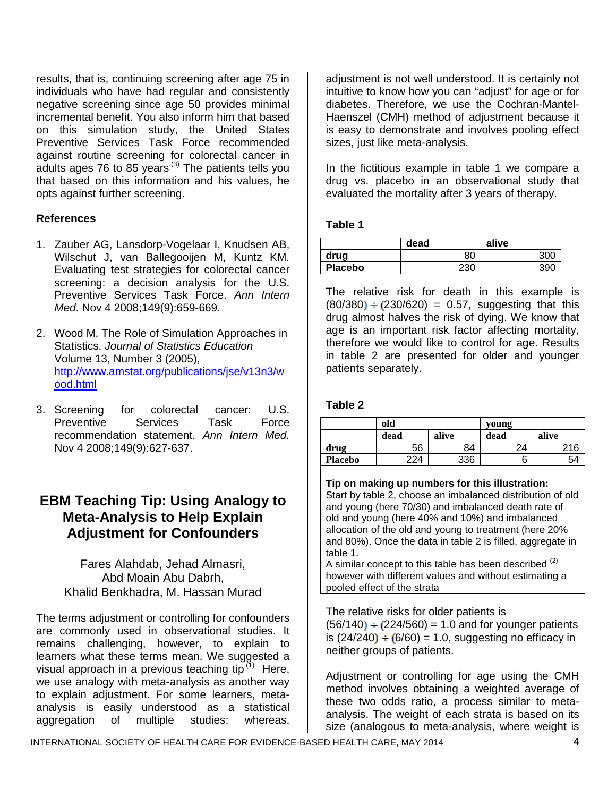results, that is, continuing screening after age 75 in individuals who have had regular and consistently negative screening since age 50 provides minimal incremental benefit. You also inform him that based on this simulation study, the United States Preventive Services Task Force recommended against routine screening for colorectal cancer in adults ages 76 to 85 years<sup> $(3)$ </sup> The patients tells you that based on this information and his values, he opts against further screening.

### **References**

- 1. Zauber AG, Lansdorp-Vogelaar I, Knudsen AB, Wilschut J, van Ballegooijen M, Kuntz KM. Evaluating test strategies for colorectal cancer screening: a decision analysis for the U.S. Preventive Services Task Force. *Ann Intern Med*. Nov 4 2008;149(9):659-669.
- 2. Wood M. The Role of Simulation Approaches in Statistics. *Journal of Statistics Education* Volume 13, Number 3 (2005), [http://www.amstat.org/publications/jse/v13n3/w](http://www.amstat.org/publications/jse/v13n3/wood.html) [ood.html](http://www.amstat.org/publications/jse/v13n3/wood.html)
- 3. Screening for colorectal cancer: U.S. Preventive Services Task Force recommendation statement. *Ann Intern Med.* Nov 4 2008;149(9):627-637.

## **EBM Teaching Tip: Using Analogy to Meta-Analysis to Help Explain Adjustment for Confounders**

Fares Alahdab, Jehad Almasri, Abd Moain Abu Dabrh, Khalid Benkhadra, M. Hassan Murad

The terms adjustment or controlling for confounders are commonly used in observational studies. It remains challenging, however, to explain to learners what these terms mean. We suggested a visual approach in a previous teaching tip $(1)$  Here, we use analogy with meta-analysis as another way to explain adjustment. For some learners, metaanalysis is easily understood as a statistical aggregation of multiple studies; whereas,

adjustment is not well understood. It is certainly not intuitive to know how you can "adjust" for age or for diabetes. Therefore, we use the Cochran-Mantel-Haenszel (CMH) method of adjustment because it is easy to demonstrate and involves pooling effect sizes, just like meta-analysis.

In the fictitious example in table 1 we compare a drug vs. placebo in an observational study that evaluated the mortality after 3 years of therapy.

#### **Table 1**

|                | dead | alive |
|----------------|------|-------|
| drug           | 80   |       |
| <b>Placebo</b> | 230  | 391   |

The relative risk for death in this example is  $(80/380) \div (230/620) = 0.57$ , suggesting that this drug almost halves the risk of dying. We know that age is an important risk factor affecting mortality, therefore we would like to control for age. Results in table 2 are presented for older and younger patients separately.

#### **Table 2**

|                | old  |       | voung |       |
|----------------|------|-------|-------|-------|
|                | dead | alive | dead  | alive |
| drug           | 56   | 84    | 24    | 216   |
| <b>Placebo</b> | つつム  | 336   |       | 54    |
|                |      |       |       |       |

**Tip on making up numbers for this illustration:** Start by table 2, choose an imbalanced distribution of old and young (here 70/30) and imbalanced death rate of old and young (here 40% and 10%) and imbalanced allocation of the old and young to treatment (here 20% and 80%). Once the data in table 2 is filled, aggregate in table 1.

A similar concept to this table has been described  $(2)$ however with different values and without estimating a pooled effect of the strata

The relative risks for older patients is  $(56/140) \div (224/560) = 1.0$  and for younger patients is  $(24/240) \div (6/60) = 1.0$ , suggesting no efficacy in neither groups of patients.

Adjustment or controlling for age using the CMH method involves obtaining a weighted average of these two odds ratio, a process similar to metaanalysis. The weight of each strata is based on its size (analogous to meta-analysis, where weight is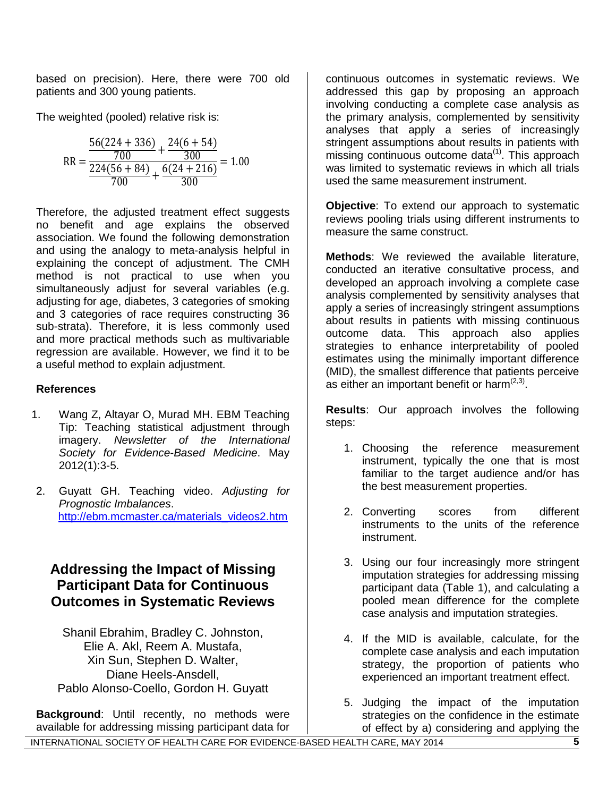based on precision). Here, there were 700 old patients and 300 young patients.

The weighted (pooled) relative risk is:

$$
RR = \frac{\frac{56(224 + 336)}{700} + \frac{24(6 + 54)}{300}}{700} = 1.00
$$
  

$$
RR = \frac{224(56 + 84)}{700} + \frac{6(24 + 216)}{300} = 1.00
$$

Therefore, the adjusted treatment effect suggests no benefit and age explains the observed association. We found the following demonstration and using the analogy to meta-analysis helpful in explaining the concept of adjustment. The CMH method is not practical to use when you simultaneously adjust for several variables (e.g. adjusting for age, diabetes, 3 categories of smoking and 3 categories of race requires constructing 36 sub-strata). Therefore, it is less commonly used and more practical methods such as multivariable regression are available. However, we find it to be a useful method to explain adjustment.

### **References**

- 1. Wang Z, Altayar O, Murad MH. EBM Teaching Tip: Teaching statistical adjustment through imagery. *Newsletter of the International Society for Evidence-Based Medicine*. May 2012(1):3-5.
- 2. Guyatt GH. Teaching video. *Adjusting for Prognostic Imbalances*. [http://ebm.mcmaster.ca/materials\\_videos2.htm](http://ebm.mcmaster.ca/materials_videos2.htm)

## **Addressing the Impact of Missing Participant Data for Continuous Outcomes in Systematic Reviews**

Shanil Ebrahim, Bradley C. Johnston, Elie A. Akl, Reem A. Mustafa, Xin Sun, Stephen D. Walter, Diane Heels-Ansdell, Pablo Alonso-Coello, Gordon H. Guyatt

**Background**: Until recently, no methods were available for addressing missing participant data for

continuous outcomes in systematic reviews. We addressed this gap by proposing an approach involving conducting a complete case analysis as the primary analysis, complemented by sensitivity analyses that apply a series of increasingly stringent assumptions about results in patients with missing continuous outcome data $(1)$ . This approach was limited to systematic reviews in which all trials used the same measurement instrument.

**Objective**: To extend our approach to systematic reviews pooling trials using different instruments to measure the same construct.

**Methods**: We reviewed the available literature, conducted an iterative consultative process, and developed an approach involving a complete case analysis complemented by sensitivity analyses that apply a series of increasingly stringent assumptions about results in patients with missing continuous outcome data. This approach also applies strategies to enhance interpretability of pooled estimates using the minimally important difference (MID), the smallest difference that patients perceive as either an important benefit or harm<sup> $(2,3)$ </sup>.

**Results**: Our approach involves the following steps:

- 1. Choosing the reference measurement instrument, typically the one that is most familiar to the target audience and/or has the best measurement properties.
- 2. Converting scores from different instruments to the units of the reference instrument.
- 3. Using our four increasingly more stringent imputation strategies for addressing missing participant data (Table 1), and calculating a pooled mean difference for the complete case analysis and imputation strategies.
- 4. If the MID is available, calculate, for the complete case analysis and each imputation strategy, the proportion of patients who experienced an important treatment effect.
- 5. Judging the impact of the imputation strategies on the confidence in the estimate of effect by a) considering and applying the

INTERNATIONAL SOCIETY OF HEALTH CARE FOR EVIDENCE-BASED HEALTH CARE, MAY 2014 **5**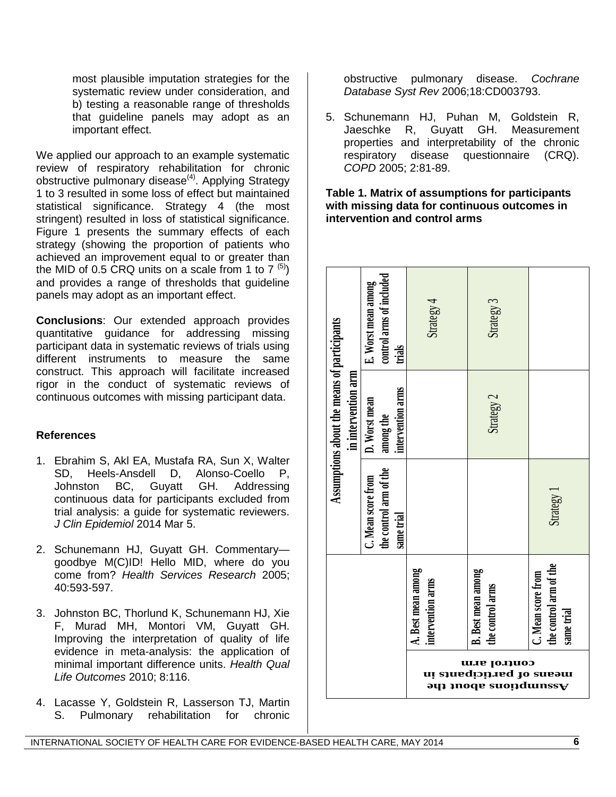most plausible imputation strategies for the systematic review under consideration, and b) testing a reasonable range of thresholds that guideline panels may adopt as an important effect.

We applied our approach to an example systematic review of respiratory rehabilitation for chronic obstructive pulmonary disease $(4)$ . Applying Strategy 1 to 3 resulted in some loss of effect but maintained statistical significance. Strategy 4 (the most stringent) resulted in loss of statistical significance. Figure 1 presents the summary effects of each strategy (showing the proportion of patients who achieved an improvement equal to or greater than the MID of 0.5 CRQ units on a scale from 1 to 7  $(5)$ ) and provides a range of thresholds that guideline panels may adopt as an important effect.

**Conclusions**: Our extended approach provides quantitative guidance for addressing missing participant data in systematic reviews of trials using different instruments to measure the same construct. This approach will facilitate increased rigor in the conduct of systematic reviews of continuous outcomes with missing participant data.

### **References**

- 1. Ebrahim S, Akl EA, Mustafa RA, Sun X, Walter SD, Heels-Ansdell D, Alonso-Coello P,<br>Johnston BC. Guvatt GH. Addressing Johnston BC, Guyatt GH. continuous data for participants excluded from trial analysis: a guide for systematic reviewers. *J Clin Epidemiol* 2014 Mar 5.
- 2. Schunemann HJ, Guyatt GH. Commentary goodbye M(C)ID! Hello MID, where do you come from? *Health Services Research* 2005; 40:593-597.
- 3. Johnston BC, Thorlund K, Schunemann HJ, Xie F, Murad MH, Montori VM, Guyatt GH. Improving the interpretation of quality of life evidence in meta-analysis: the application of minimal important difference units. *Health Qual Life Outcomes* 2010; 8:116.
- 4. Lacasse Y, Goldstein R, Lasserson TJ, Martin S. Pulmonary rehabilitation for chronic

obstructive pulmonary disease. *Cochrane Database Syst Rev* 2006;18:CD003793.

5. Schunemann HJ, Puhan M, Goldstein R, Jaeschke R, Guyatt GH. Measurement properties and interpretability of the chronic respiratory disease questionnaire (CRQ). *COPD* 2005; 2:81-89.

#### **Table 1. Matrix of assumptions for participants with missing data for continuous outcomes in intervention and control arms**

| Assumptions about the means of participants<br>in intervention arm | control arms of included<br>E. Worst mean among<br>trials<br>intervention arms<br>D. Worst mean<br>among the<br>the control arm of the<br>C. Mean score from<br>same trial | Strategy 4                                                                                                 | Strategy 3<br>Strategy 2                      | Strategy 1                                                 |
|--------------------------------------------------------------------|----------------------------------------------------------------------------------------------------------------------------------------------------------------------------|------------------------------------------------------------------------------------------------------------|-----------------------------------------------|------------------------------------------------------------|
|                                                                    |                                                                                                                                                                            | A. Best mean among<br>intervention arms                                                                    | <b>B.</b> Best mean among<br>the control arms | the control arm of the<br>C. Mean score from<br>same trial |
|                                                                    |                                                                                                                                                                            | сопџгој чтл<br>ui sinsqioiriaq 10 <mark>sns</mark> əm<br>$\overline{\mathbf{q}}$ appropries substraint the |                                               |                                                            |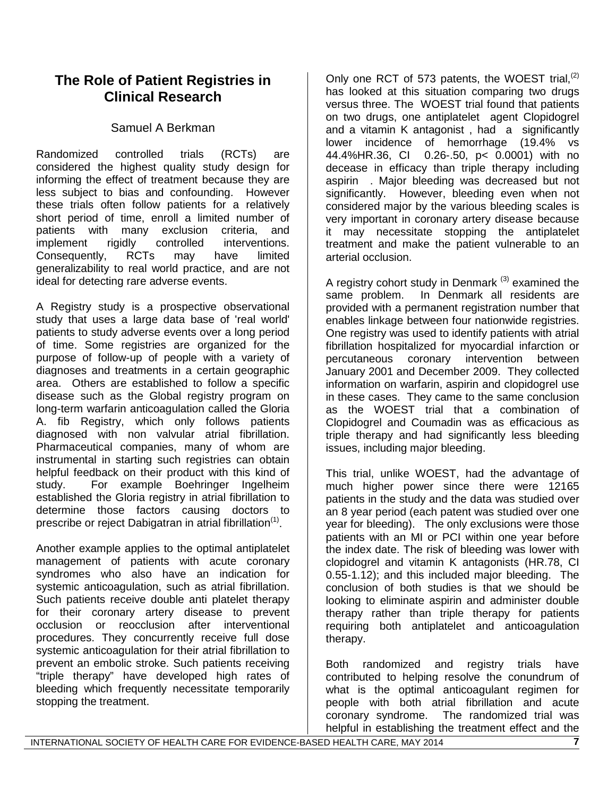## **The Role of Patient Registries in Clinical Research**

## Samuel A Berkman

Randomized controlled trials (RCTs) are considered the highest quality study design for informing the effect of treatment because they are less subject to bias and confounding. However these trials often follow patients for a relatively short period of time, enroll a limited number of patients with many exclusion criteria, and implement rigidly controlled interventions. Consequently, RCTs may have limited generalizability to real world practice, and are not ideal for detecting rare adverse events.

A Registry study is a prospective observational study that uses a large data base of 'real world' patients to study adverse events over a long period of time. Some registries are organized for the purpose of follow-up of people with a variety of diagnoses and treatments in a certain geographic area. Others are established to follow a specific disease such as the Global registry program on long-term warfarin anticoagulation called the Gloria A. fib Registry, which only follows patients diagnosed with non valvular atrial fibrillation. Pharmaceutical companies, many of whom are instrumental in starting such registries can obtain helpful feedback on their product with this kind of study. For example Boehringer Ingelheim established the Gloria registry in atrial fibrillation to determine those factors causing doctors to prescribe or reject Dabigatran in atrial fibrillation<sup>(1)</sup>.

Another example applies to the optimal antiplatelet management of patients with acute coronary syndromes who also have an indication for systemic anticoagulation, such as atrial fibrillation. Such patients receive double anti platelet therapy for their coronary artery disease to prevent occlusion or reocclusion after interventional procedures. They concurrently receive full dose systemic anticoagulation for their atrial fibrillation to prevent an embolic stroke. Such patients receiving "triple therapy" have developed high rates of bleeding which frequently necessitate temporarily stopping the treatment.

Only one RCT of 573 patents, the WOEST trial, $(2)$ has looked at this situation comparing two drugs versus three. The WOEST trial found that patients on two drugs, one antiplatelet agent Clopidogrel and a vitamin K antagonist , had a significantly lower incidence of hemorrhage (19.4% vs 44.4%HR.36, CI 0.26-.50, p< 0.0001) with no decease in efficacy than triple therapy including aspirin . Major bleeding was decreased but not significantly. However, bleeding even when not considered major by the various bleeding scales is very important in coronary artery disease because it may necessitate stopping the antiplatelet treatment and make the patient vulnerable to an arterial occlusion.

A registry cohort study in Denmark  $(3)$  examined the same problem. In Denmark all residents are provided with a permanent registration number that enables linkage between four nationwide registries. One registry was used to identify patients with atrial fibrillation hospitalized for myocardial infarction or percutaneous coronary intervention between January 2001 and December 2009. They collected information on warfarin, aspirin and clopidogrel use in these cases. They came to the same conclusion as the WOEST trial that a combination of Clopidogrel and Coumadin was as efficacious as triple therapy and had significantly less bleeding issues, including major bleeding.

This trial, unlike WOEST, had the advantage of much higher power since there were 12165 patients in the study and the data was studied over an 8 year period (each patent was studied over one year for bleeding). The only exclusions were those patients with an MI or PCI within one year before the index date. The risk of bleeding was lower with clopidogrel and vitamin K antagonists (HR.78, CI 0.55-1.12); and this included major bleeding. The conclusion of both studies is that we should be looking to eliminate aspirin and administer double therapy rather than triple therapy for patients requiring both antiplatelet and anticoagulation therapy.

Both randomized and registry trials have contributed to helping resolve the conundrum of what is the optimal anticoagulant regimen for people with both atrial fibrillation and acute coronary syndrome. The randomized trial was helpful in establishing the treatment effect and the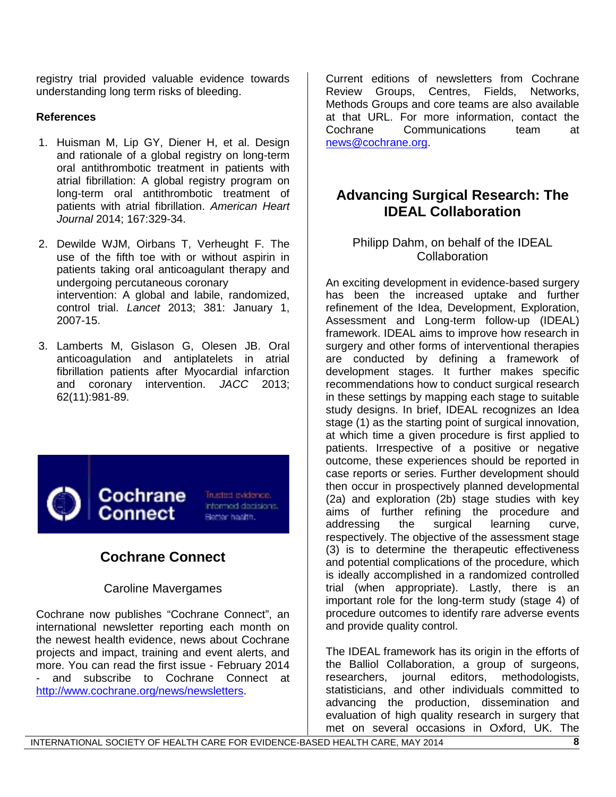registry trial provided valuable evidence towards understanding long term risks of bleeding.

### **References**

- 1. Huisman M, Lip GY, Diener H, et al. Design and rationale of a global registry on long-term oral antithrombotic treatment in patients with atrial fibrillation: A global registry program on long-term oral antithrombotic treatment of patients with atrial fibrillation. *American Heart Journal* 2014; 167:329-34.
- 2. Dewilde WJM, Oirbans T, Verheught F. The use of the fifth toe with or without aspirin in patients taking oral anticoagulant therapy and undergoing percutaneous coronary intervention: A global and labile, randomized, control trial. *Lancet* 2013; 381: January 1, 2007-15.
- 3. Lamberts M, Gislason G, Olesen JB. Oral anticoagulation and antiplatelets in atrial fibrillation patients after Myocardial infarction and coronary intervention. *JACC* 2013; 62(11):981-89.

Trusted evidence. informed decisions. Better health.

# **Cochrane Connect**

Cochrane

Connect

## Caroline Mavergames

Cochrane now publishes "Cochrane Connect", an international newsletter reporting each month on the newest health evidence, news about Cochrane projects and impact, training and event alerts, and more. You can read the first issue - February 2014 and subscribe to Cochrane Connect at [http://www.cochrane.org/news/newsletters.](http://www.cochrane.org/news/newsletters)

Current editions of newsletters from Cochrane Review Groups, Centres, Fields, Networks, Methods Groups and core teams are also available at that URL. For more information, contact the Cochrane Communications team at [news@cochrane.org.](mailto:news@cochrane.org)

## **Advancing Surgical Research: The IDEAL Collaboration**

### Philipp Dahm, on behalf of the IDEAL Collaboration

An exciting development in evidence-based surgery has been the increased uptake and further refinement of the Idea, Development, Exploration, Assessment and Long-term follow-up (IDEAL) framework. IDEAL aims to improve how research in surgery and other forms of interventional therapies are conducted by defining a framework of development stages. It further makes specific recommendations how to conduct surgical research in these settings by mapping each stage to suitable study designs. In brief, IDEAL recognizes an Idea stage (1) as the starting point of surgical innovation, at which time a given procedure is first applied to patients. Irrespective of a positive or negative outcome, these experiences should be reported in case reports or series. Further development should then occur in prospectively planned developmental (2a) and exploration (2b) stage studies with key aims of further refining the procedure and addressing the surgical learning curve, respectively. The objective of the assessment stage (3) is to determine the therapeutic effectiveness and potential complications of the procedure, which is ideally accomplished in a randomized controlled trial (when appropriate). Lastly, there is an important role for the long-term study (stage 4) of procedure outcomes to identify rare adverse events and provide quality control.

The IDEAL framework has its origin in the efforts of the Balliol Collaboration, a group of surgeons, researchers, journal editors, methodologists, statisticians, and other individuals committed to advancing the production, dissemination and evaluation of high quality research in surgery that met on several occasions in Oxford, UK. The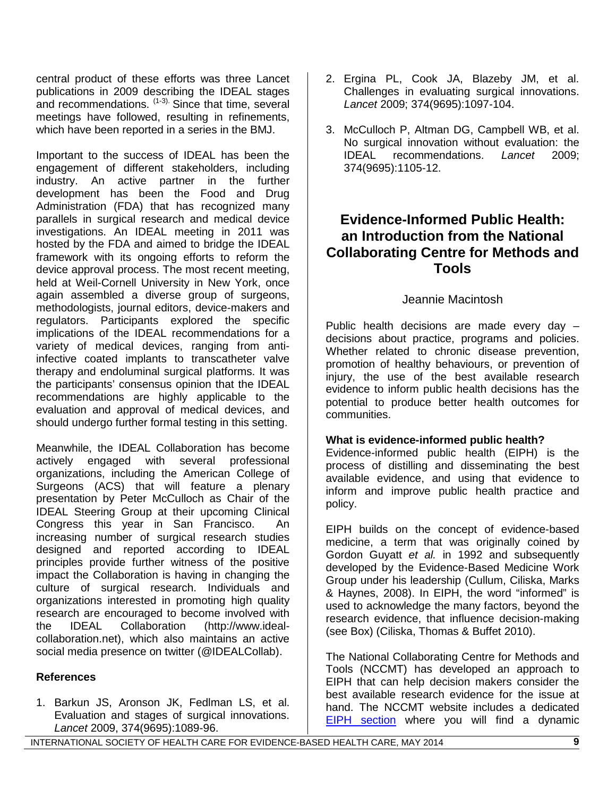central product of these efforts was three Lancet publications in 2009 describing the IDEAL stages and recommendations. (1-3). Since that time, several meetings have followed, resulting in refinements, which have been reported in a series in the BMJ.

Important to the success of IDEAL has been the engagement of different stakeholders, including industry. An active partner in the further development has been the Food and Drug Administration (FDA) that has recognized many parallels in surgical research and medical device investigations. An IDEAL meeting in 2011 was hosted by the FDA and aimed to bridge the IDEAL framework with its ongoing efforts to reform the device approval process. The most recent meeting, held at Weil-Cornell University in New York, once again assembled a diverse group of surgeons, methodologists, journal editors, device-makers and regulators. Participants explored the specific implications of the IDEAL recommendations for a variety of medical devices, ranging from antiinfective coated implants to transcatheter valve therapy and endoluminal surgical platforms. It was the participants' consensus opinion that the IDEAL recommendations are highly applicable to the evaluation and approval of medical devices, and should undergo further formal testing in this setting.

Meanwhile, the IDEAL Collaboration has become actively engaged with several professional organizations, including the American College of Surgeons (ACS) that will feature a plenary presentation by Peter McCulloch as Chair of the IDEAL Steering Group at their upcoming Clinical Congress this year in San Francisco. An increasing number of surgical research studies designed and reported according to IDEAL principles provide further witness of the positive impact the Collaboration is having in changing the culture of surgical research. Individuals and organizations interested in promoting high quality research are encouraged to become involved with<br>the IDEAL Collaboration (http://www.idealthe IDEAL Collaboration (http://www.idealcollaboration.net), which also maintains an active social media presence on twitter (@IDEALCollab).

### **References**

1. Barkun JS, Aronson JK, Fedlman LS, et al. Evaluation and stages of surgical innovations. *Lancet* 2009, 374(9695):1089-96.

- 2. Ergina PL, Cook JA, Blazeby JM, et al. Challenges in evaluating surgical innovations. *Lancet* 2009; 374(9695):1097-104.
- 3. McCulloch P, Altman DG, Campbell WB, et al. No surgical innovation without evaluation: the IDEAL recommendations. *Lancet* 2009; 374(9695):1105-12.

## **Evidence-Informed Public Health: an Introduction from the National Collaborating Centre for Methods and Tools**

### Jeannie Macintosh

Public health decisions are made every day – decisions about practice, programs and policies. Whether related to chronic disease prevention, promotion of healthy behaviours, or prevention of injury, the use of the best available research evidence to inform public health decisions has the potential to produce better health outcomes for communities.

#### **What is evidence-informed public health?**

Evidence-informed public health (EIPH) is the process of distilling and disseminating the best available evidence, and using that evidence to inform and improve public health practice and policy.

EIPH builds on the concept of evidence-based medicine, a term that was originally coined by Gordon Guyatt *et al.* in 1992 and subsequently developed by the Evidence-Based Medicine Work Group under his leadership (Cullum, Ciliska, Marks & Haynes, 2008). In EIPH, the word "informed" is used to acknowledge the many factors, beyond the research evidence, that influence decision-making (see Box) (Ciliska, Thomas & Buffet 2010).

The National Collaborating Centre for Methods and Tools (NCCMT) has developed an approach to EIPH that can help decision makers consider the best available research evidence for the issue at hand. The NCCMT website includes a dedicated [EIPH section](http://www.nccmt.ca/eiph/index-eng.html) where you will find a dynamic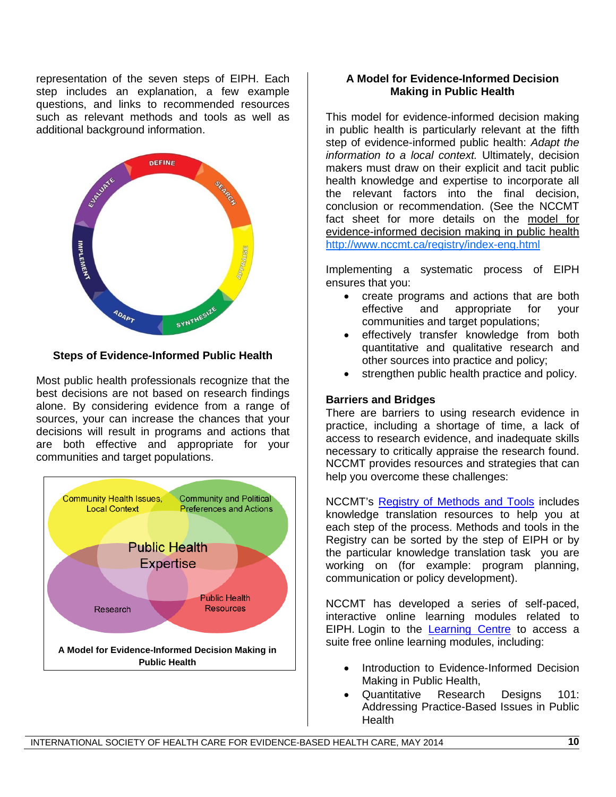representation of the seven steps of EIPH. Each step includes an explanation, a few example questions, and links to recommended resources such as relevant methods and tools as well as additional background information.



**Steps of Evidence-Informed Public Health** 

Most public health professionals recognize that the best decisions are not based on research findings alone. By considering evidence from a range of sources, your can increase the chances that your decisions will result in programs and actions that are both effective and appropriate for your communities and target populations.



### **A Model for Evidence-Informed Decision Making in Public Health**

This model for evidence-informed decision making in public health is particularly relevant at the fifth step of evidence-informed public health: *Adapt the information to a local context.* Ultimately, decision makers must draw on their explicit and tacit public health knowledge and expertise to incorporate all the relevant factors into the final decision, conclusion or recommendation. (See the NCCMT fact sheet for more details on the model for evidence-informed decision making in public health <http://www.nccmt.ca/registry/index-eng.html>

Implementing a systematic process of EIPH ensures that you:

- create programs and actions that are both effective and appropriate for your communities and target populations;
- effectively transfer knowledge from both quantitative and qualitative research and other sources into practice and policy;
- strengthen public health practice and policy.

#### **Barriers and Bridges**

There are barriers to using research evidence in practice, including a shortage of time, a lack of access to research evidence, and inadequate skills necessary to critically appraise the research found. NCCMT provides resources and strategies that can help you overcome these challenges:

NCCMT's [Registry of Methods and Tools](http://www.nccmt.ca/registry/index-eng.html) includes knowledge translation resources to help you at each step of the process. Methods and tools in the Registry can be sorted by the step of EIPH or by the particular knowledge translation task you are working on (for example: program planning, communication or policy development).

NCCMT has developed a series of self-paced, interactive online learning modules related to EIPH. Login to the [Learning Centre](http://www.nccmt.ca/learningcentre/index.php#main.html) to access a suite free online learning modules, including:

- Introduction to Evidence-Informed Decision Making in Public Health,
- Quantitative Research Designs 101: Addressing Practice-Based Issues in Public **Health**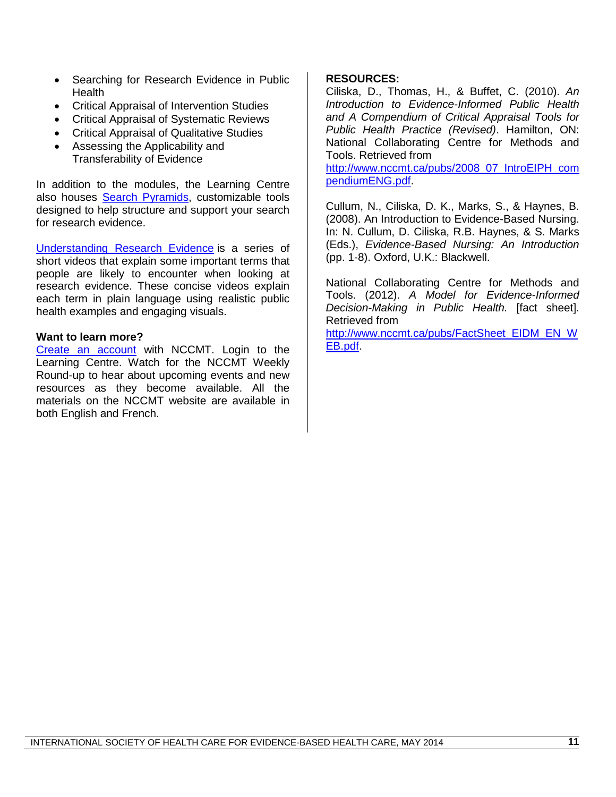- Searching for Research Evidence in Public Health
- Critical Appraisal of Intervention Studies
- Critical Appraisal of Systematic Reviews
- Critical Appraisal of Qualitative Studies
- Assessing the Applicability and Transferability of Evidence

In addition to the modules, the Learning Centre also houses [Search Pyramids,](http://www.nccmt.ca/spotlights/nccmt_searchpyramids-eng.html) customizable tools designed to help structure and support your search for research evidence.

[Understanding Research Evidence](http://www.nccmt.ca/resources/multimedia-eng.html#ure) is a series of short videos that explain some important terms that people are likely to encounter when looking at research evidence. These concise videos explain each term in plain language using realistic public health examples and engaging visuals.

#### **Want to learn more?**

[Create an account](http://www.nccmt.ca/subscribe-eng.html) with NCCMT. Login to the Learning Centre. Watch for the NCCMT Weekly Round-up to hear about upcoming events and new resources as they become available. All the materials on the NCCMT website are available in both English and French.

#### **RESOURCES:**

Ciliska, D., Thomas, H., & Buffet, C. (2010). *An Introduction to Evidence-Informed Public Health and A Compendium of Critical Appraisal Tools for Public Health Practice (Revised)*. Hamilton, ON: National Collaborating Centre for Methods and Tools. Retrieved from

[http://www.nccmt.ca/pubs/2008\\_07\\_IntroEIPH\\_com](http://www.nccmt.ca/pubs/2008_07_IntroEIPH_compendiumENG.pdf) [pendiumENG.pdf.](http://www.nccmt.ca/pubs/2008_07_IntroEIPH_compendiumENG.pdf)

Cullum, N., Ciliska, D. K., Marks, S., & Haynes, B. (2008). An Introduction to Evidence-Based Nursing. In: N. Cullum, D. Ciliska, R.B. Haynes, & S. Marks (Eds.), *Evidence-Based Nursing: An Introduction* (pp. 1-8). Oxford, U.K.: Blackwell.

National Collaborating Centre for Methods and Tools. (2012). *A Model for Evidence-Informed Decision-Making in Public Health.* [fact sheet]. Retrieved from

[http://www.nccmt.ca/pubs/FactSheet\\_EIDM\\_EN\\_W](http://www.nccmt.ca/pubs/FactSheet_EIDM_EN_WEB.pdf) [EB.pdf.](http://www.nccmt.ca/pubs/FactSheet_EIDM_EN_WEB.pdf)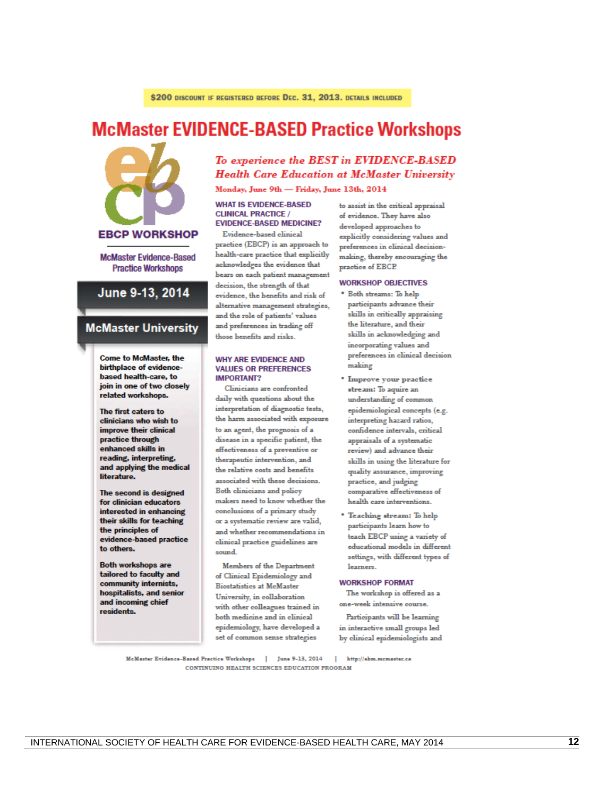# **McMaster EVIDENCE-BASED Practice Workshops**



**McMaster Evidence-Based Practice Workshops** 

### June 9-13, 2014

#### **McMaster University**

Come to McMaster, the birthplace of evidencebased health-care, to join in one of two closely related workshops.

The first caters to clinicians who wish to improve their clinical practice through enhanced skills in reading, interpreting, and applying the medical literature.

The second is designed for clinician educators interested in enhancing their skills for teaching the principles of evidence-based practice to others.

**Both workshops are** tailored to faculty and community internists, hospitalists, and senior and incoming chief residents.

## To experience the BEST in EVIDENCE-BASED **Health Care Education at McMaster University**

Monday, June 9th - Friday, June 13th, 2014

#### **WHAT IS EVIDENCE-BASED CLINICAL PRACTICE / EVIDENCE-BASED MEDICINE?**

Evidence-based clinical practice (EBCP) is an approach to health-care practice that explicitly acknowledges the evidence that bears on each patient management decision, the strength of that evidence, the benefits and risk of alternative management strategies, and the role of patients' values and preferences in trading off those benefits and risks.

#### **WHY ARE EVIDENCE AND VALUES OR PREFERENCES IMPORTANT?**

Clinicians are confronted daily with questions about the interpretation of diagnostic tests, the harm associated with exposure to an agent, the prognosis of a disease in a specific patient, the effectiveness of a preventive or therapeutic intervention, and the relative costs and benefits associated with these decisions. Both elinicians and policy makers need to know whether the conclusions of a primary study or a systematic review are valid, and whether recommendations in clinical practice guidelines are hmma

Members of the Department of Clinical Epidemiology and **Biostatistics at McMaster** University, in collaboration with other colleagues trained in both medicine and in clinical epidemiology, have developed a set of common sense strategies

to assist in the critical appraisal of evidence. They have also developed approaches to explicitly considering values and preferences in clinical decisionmaking, thereby encouraging the practice of EBCP.

#### **WORKSHOP OBJECTIVES**

- \* Both streams: To help participants advance their skills in critically appraising the literature, and their skills in acknowledging and incorporating values and preferences in clinical decision making
- \* Improve your practice stream: To aquire an understanding of common epidemiological concepts (e.g. interpreting hazard ratios, confidence intervals, critical appraisals of a systematic review) and advance their skills in using the literature for quality assurance, improving practice, and judging comparative effectiveness of health care interventions.
- \* Teaching stream: To help participants learn how to teach EBCP using a variety of educational models in different settings, with different types of learners

#### **WORKSHOP FORMAT**

The workshop is offered as a one-week intensive course.

Participants will be learning in interactive small groups led by clinical epidemiologists and

McMaster Evidence-Based Practice Workshops | June 9-13, 2014 | http://ebm.mcmaster.ca CONTINUING HEALTH SCIENCES EDUCATION PROGRAM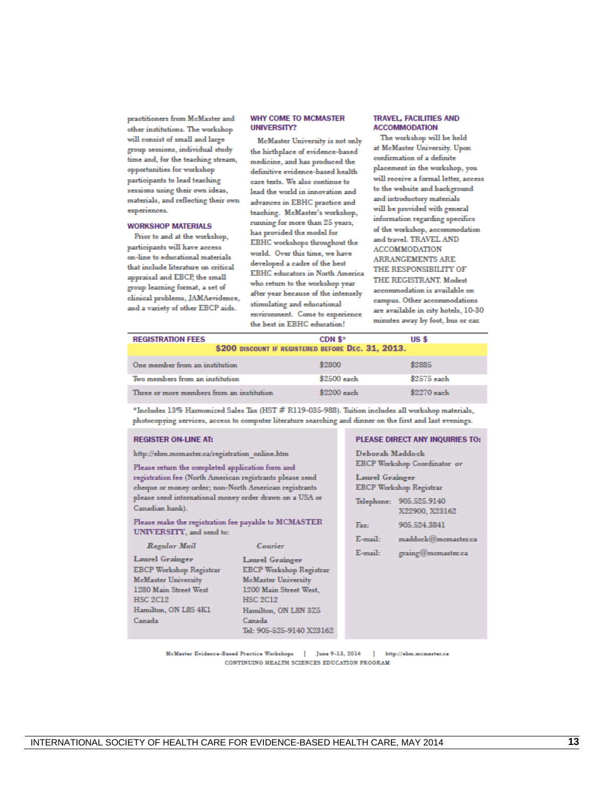practitioners from McMaster and other institutions. The workshop will consist of small and large group sessions, individual study time and, for the teaching stream, opportunities for workshop participants to lead teaching sessions using their own ideas, materials, and reflecting their own experiences.

#### **WORKSHOP MATERIALS**

Prior to and at the workshop, participants will have access on-line to educational materials that include literature on critical appraisal and EBCP, the small group learning format, a set of clinical problems, JAMAevidence, and a variety of other EBCP aids.

#### **WHY COME TO MCMASTER UNIVERSITY?**

McMaster University is not only the birthplace of evidence-based medicine, and has produced the definitive evidence-based health care texts. We also continue to lead the world in innovation and advances in EBHC practice and teaching. McMaster's workshop, running for more than 25 years, has provided the model for EBHC workshops throughout the world. Over this time, we have developed a cadre of the best EBHC educators in North America who return to the workshop year after year because of the intensely stimulating and educational environment. Come to experience the best in EBHC education!

#### **TRAVEL, FACILITIES AND ACCOMMODATION**

The workshop will be held at McMaster University. Upon confirmation of a definite placement in the workshop, you will receive a formal letter, access to the website and background and introductory materials will be provided with general information regarding specifics of the workshop, accommodation and travel. TRAVEL AND **ACCOMMODATION ARRANGEMENTS ARE** THE RESPONSIBILITY OF THE REGISTRANT, Modest accommodation is available on eampus. Other accommodations are available in city hotels, 10-30 minutes away by foot, bus or ear.

| <b>REGISTRATION FEES</b>                           | CDN $$*$     | US <sub>s</sub> |
|----------------------------------------------------|--------------|-----------------|
| \$200 DISCOUNT IF REGISTERED BEFORE DEC. 31, 2013. |              |                 |
| One member from an institution                     | \$2800       | \$2885          |
| Two members from an institution                    | $$2500$ each | \$2575 each     |
| Three or more members from an institution          | \$2200 each  | \$2270 each     |

\*Includes 13% Harmonized Sales Tax (HST # R119-035-988). Tuition includes all workshop materials, photocopying services, access to computer literature searching and dinner on the first and last evenings.

#### **REGISTER ON-LINE AT:**

http://ebm.memaster.ca/registration online.htm

Please return the completed application form and registration fee (North American registrants please send cheque or money order; non-North American registrants please send international money order drawn on a USA or Canadian bank).

Please make the registration fee payable to MCMASTER UNIVERSITY, and send to:

#### Regular Mail

Laurel Grainger EBCP Workshop Registrar McMaster University 1280 Main Street West **HSC 2C12** Hamilton, ON L8S 4K1 Canada

#### Courier

**Laurel Grainger** EBCP Workshop Registrar McMaster University 1200 Main Street West. HSC 2012 Hamilton, ON L8N 3Z5 Canada Tel: 905-525-9140 X23162

#### PLEASE DIRECT ANY INQUIRIES TO:

Deborah Maddock EBCP Workshop Coordinator or

**Laurel Grainger** EBCP Workshop Registrar

|             | Telephone: 905.525.9140 |  |  |
|-------------|-------------------------|--|--|
|             | X22900, X23162          |  |  |
| <b>Even</b> | 905 594 3841            |  |  |

 $E_{\rm B}$ 

|       | 905.524.3841             |
|-------|--------------------------|
| nail: | $\mod$ doek $@$ memaster |

ca

E-mail: graing@memaster.ea

McMaster Evidence-Based Practice Workshops | June 9-13, 2014 | http://ebm.mcmaster.ca CONTINUING HEALTH SCIENCES EDUCATION PROGRAM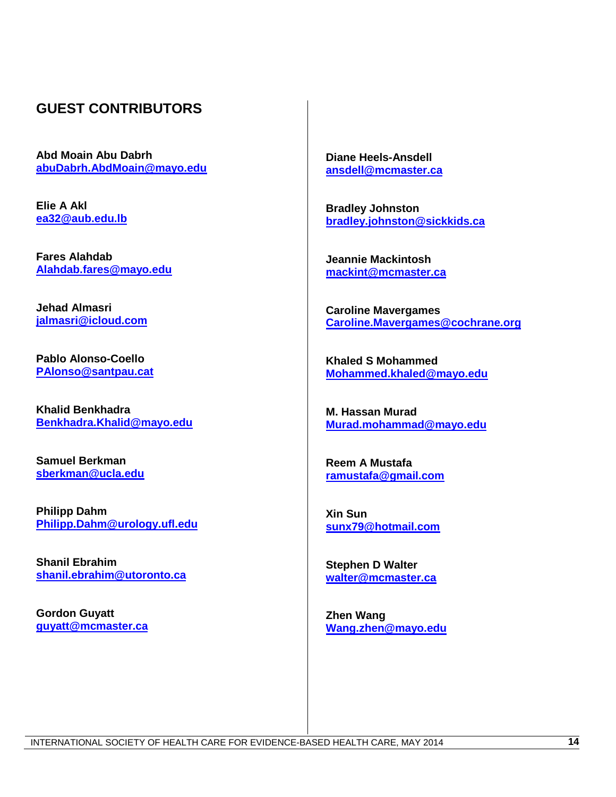## **GUEST CONTRIBUTORS**

**Abd Moain Abu Dabrh [abuDabrh.AbdMoain@mayo.edu](mailto:abuDabrh.AbdMoain@mayo.edu)**

**Elie A Akl [ea32@aub.edu.lb](mailto:ea32@aub.edu.lb)**

**Fares Alahdab [Alahdab.fares@mayo.edu](mailto:Alahdab.fares@mayo.edu)**

**Jehad Almasri [jalmasri@icloud.com](mailto:jalmasri@icloud.com)**

**Pablo Alonso-Coello [PAlonso@santpau.cat](mailto:PAlonso@santpau.cat)**

**Khalid Benkhadra [Benkhadra.Khalid@mayo.edu](mailto:Benkhadra.Khalid@mayo.edu)**

**Samuel Berkman [sberkman@ucla.edu](mailto:sberkman@ucla.edu)**

**Philipp Dahm [Philipp.Dahm@urology.ufl.edu](mailto:Philipp.Dahm@urology.ufl.edu)**

**Shanil Ebrahim [shanil.ebrahim@utoronto.ca](mailto:shanil.ebrahim@utoronto.ca)**

**Gordon Guyatt [guyatt@mcmaster.ca](mailto:guyatt@mcmaster.ca)** **Diane Heels-Ansdell [ansdell@mcmaster.ca](mailto:ansdell@mcmaster.ca)**

**Bradley Johnston [bradley.johnston@sickkids.ca](mailto:bradley.johnston@sickkids.ca)**

**Jeannie Mackintosh [mackint@mcmaster.ca](mailto:mackint@mcmaster.ca)**

**Caroline Mavergames [Caroline.Mavergames@cochrane.org](mailto:Caroline.Mavergames@cochrane.org)**

**Khaled S Mohammed [Mohammed.khaled@mayo.edu](mailto:Mohammed.khaled@mayo.edu)**

**M. Hassan Murad [Murad.mohammad@mayo.edu](mailto:Murad.mohammad@mayo.edu)**

**Reem A Mustafa [ramustafa@gmail.com](mailto:ramustafa@gmail.com)**

**Xin Sun [sunx79@hotmail.com](mailto:sunx79@hotmail.com)**

**Stephen D Walter [walter@mcmaster.ca](mailto:walter@mcmaster.ca)**

**Zhen Wang [Wang.zhen@mayo.edu](mailto:Wang.zhen@mayo.edu)**

INTERNATIONAL SOCIETY OF HEALTH CARE FOR EVIDENCE-BASED HEALTH CARE, MAY 2014 **14**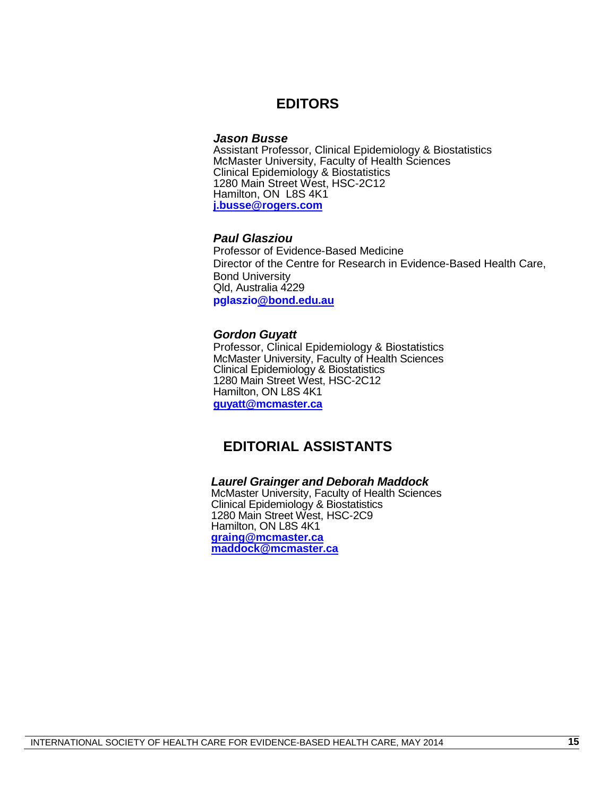## **EDITORS**

#### *Jason Busse*

Assistant Professor, Clinical Epidemiology & Biostatistics McMaster University, Faculty of Health Sciences Clinical Epidemiology & Biostatistics 1280 Main Street West, HSC-2C12 Hamilton, ON L8S 4K1 **[j.busse@rogers.com](mailto:j.busse@rogers.com)**

#### *Paul Glasziou*

Professor of Evidence-Based Medicine Director of the Centre for Research in Evidence-Based Health Care, Bond University Qld, Australia 4229 **pglaszi[o@bond.edu.au](mailto:Paul_Glasziou@bond.edu.au)**

#### *Gordon Guyatt*

Professor, Clinical Epidemiology & Biostatistics McMaster University, Faculty of Health Sciences Clinical Epidemiology & Biostatistics 1280 Main Street West, HSC-2C12 Hamilton, ON L8S 4K1 **[guyatt@mcmaster.ca](mailto:guyatt@mcmaster.ca)**

## **EDITORIAL ASSISTANTS**

#### *Laurel Grainger and Deborah Maddock*

McMaster University, Faculty of Health Sciences Clinical Epidemiology & Biostatistics 1280 Main Street West, HSC-2C9 Hamilton, ON L8S 4K1 **[graing@mcmaster.ca](mailto:graing@mcmaster.ca) [maddock@mcmaster.ca](mailto:maddock@mcmaster.ca)**